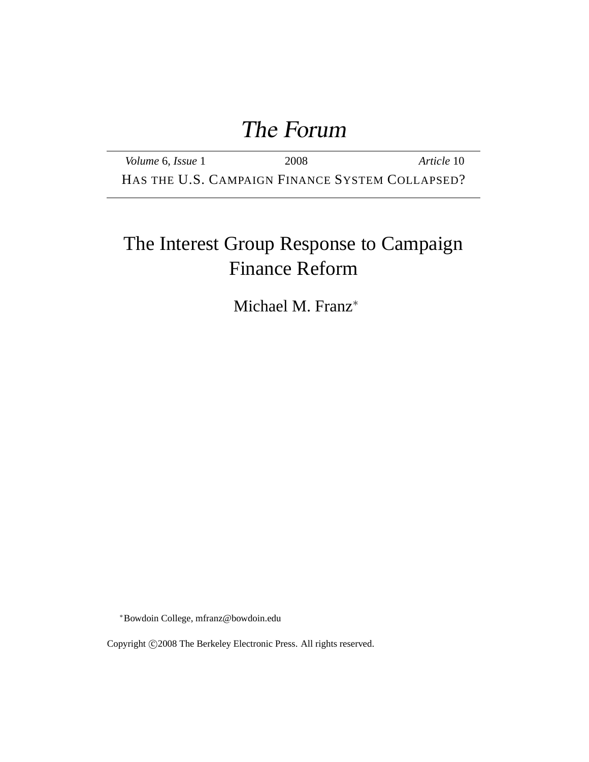# The Forum

*Volume* 6, *Issue* 1 2008 *Article* 10 HAS THE U.S. CAMPAIGN FINANCE SYSTEM COLLAPSED?

## The Interest Group Response to Campaign Finance Reform

Michael M. Franz<sup>∗</sup>

<sup>∗</sup>Bowdoin College, mfranz@bowdoin.edu

Copyright ©2008 The Berkeley Electronic Press. All rights reserved.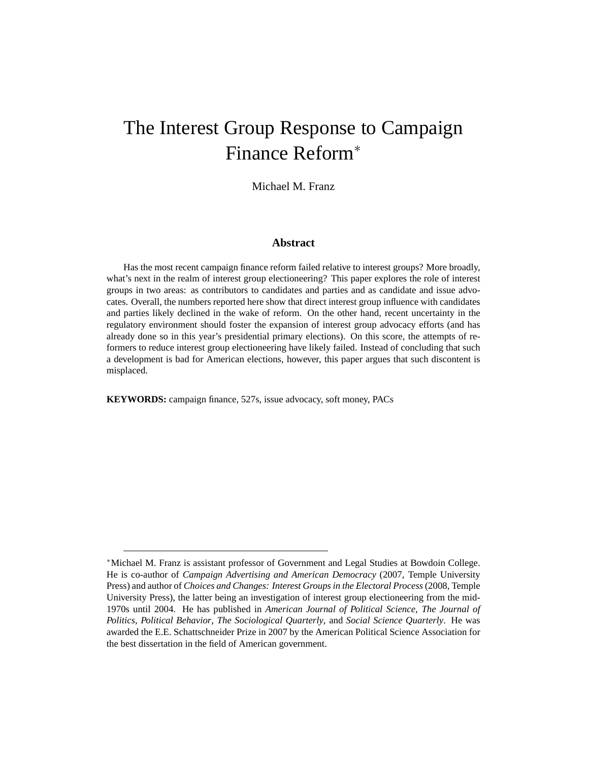## The Interest Group Response to Campaign Finance Reform<sup>∗</sup>

Michael M. Franz

#### **Abstract**

Has the most recent campaign finance reform failed relative to interest groups? More broadly, what's next in the realm of interest group electioneering? This paper explores the role of interest groups in two areas: as contributors to candidates and parties and as candidate and issue advocates. Overall, the numbers reported here show that direct interest group influence with candidates and parties likely declined in the wake of reform. On the other hand, recent uncertainty in the regulatory environment should foster the expansion of interest group advocacy efforts (and has already done so in this year's presidential primary elections). On this score, the attempts of reformers to reduce interest group electioneering have likely failed. Instead of concluding that such a development is bad for American elections, however, this paper argues that such discontent is misplaced.

**KEYWORDS:** campaign finance, 527s, issue advocacy, soft money, PACs

<sup>∗</sup>Michael M. Franz is assistant professor of Government and Legal Studies at Bowdoin College. He is co-author of *Campaign Advertising and American Democracy* (2007, Temple University Press) and author of *Choices and Changes: Interest Groups in the Electoral Process*(2008, Temple University Press), the latter being an investigation of interest group electioneering from the mid-1970s until 2004. He has published in *American Journal of Political Science*, *The Journal of Politics*, *Political Behavior*, *The Sociological Quarterly*, and *Social Science Quarterly*. He was awarded the E.E. Schattschneider Prize in 2007 by the American Political Science Association for the best dissertation in the field of American government.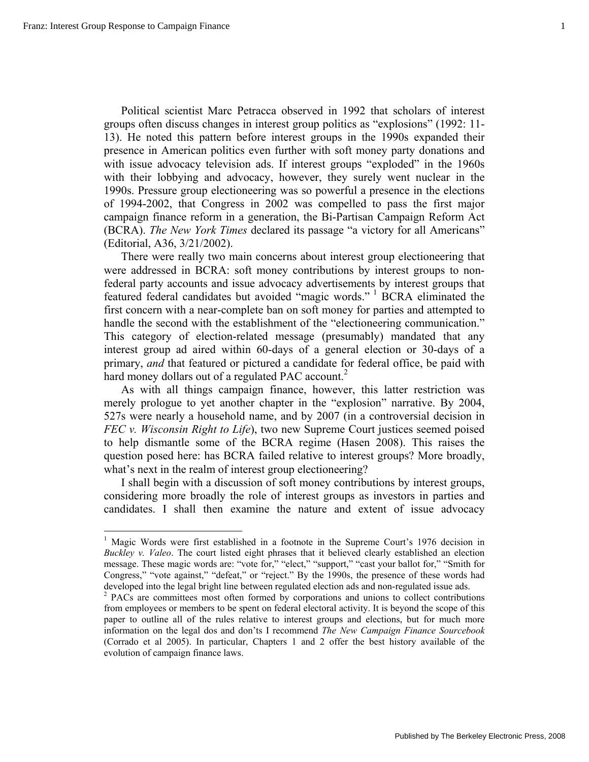$\overline{a}$ 

Political scientist Marc Petracca observed in 1992 that scholars of interest groups often discuss changes in interest group politics as "explosions" (1992: 11- 13). He noted this pattern before interest groups in the 1990s expanded their presence in American politics even further with soft money party donations and with issue advocacy television ads. If interest groups "exploded" in the 1960s with their lobbying and advocacy, however, they surely went nuclear in the 1990s. Pressure group electioneering was so powerful a presence in the elections of 1994-2002, that Congress in 2002 was compelled to pass the first major campaign finance reform in a generation, the Bi-Partisan Campaign Reform Act (BCRA). *The New York Times* declared its passage "a victory for all Americans" (Editorial, A36, 3/21/2002).

There were really two main concerns about interest group electioneering that were addressed in BCRA: soft money contributions by interest groups to nonfederal party accounts and issue advocacy advertisements by interest groups that featured federal candidates but avoided "magic words." BCRA eliminated the first concern with a near-complete ban on soft money for parties and attempted to handle the second with the establishment of the "electioneering communication." This category of election-related message (presumably) mandated that any interest group ad aired within 60-days of a general election or 30-days of a primary, *and* that featured or pictured a candidate for federal office, be paid with hard money dollars out of a regulated PAC account.<sup>2</sup>

As with all things campaign finance, however, this latter restriction was merely prologue to yet another chapter in the "explosion" narrative. By 2004, 527s were nearly a household name, and by 2007 (in a controversial decision in *FEC v. Wisconsin Right to Life*), two new Supreme Court justices seemed poised to help dismantle some of the BCRA regime (Hasen 2008). This raises the question posed here: has BCRA failed relative to interest groups? More broadly, what's next in the realm of interest group electioneering?

I shall begin with a discussion of soft money contributions by interest groups, considering more broadly the role of interest groups as investors in parties and candidates. I shall then examine the nature and extent of issue advocacy

<sup>&</sup>lt;sup>1</sup> Magic Words were first established in a footnote in the Supreme Court's 1976 decision in *Buckley v. Valeo*. The court listed eight phrases that it believed clearly established an election message. These magic words are: "vote for," "elect," "support," "cast your ballot for," "Smith for Congress," "vote against," "defeat," or "reject." By the 1990s, the presence of these words had developed into the legal bright line between regulated election ads and non-regulated issue ads. 2

<sup>&</sup>lt;sup>2</sup> PACs are committees most often formed by corporations and unions to collect contributions from employees or members to be spent on federal electoral activity. It is beyond the scope of this paper to outline all of the rules relative to interest groups and elections, but for much more information on the legal dos and don'ts I recommend *The New Campaign Finance Sourcebook* (Corrado et al 2005). In particular, Chapters 1 and 2 offer the best history available of the evolution of campaign finance laws.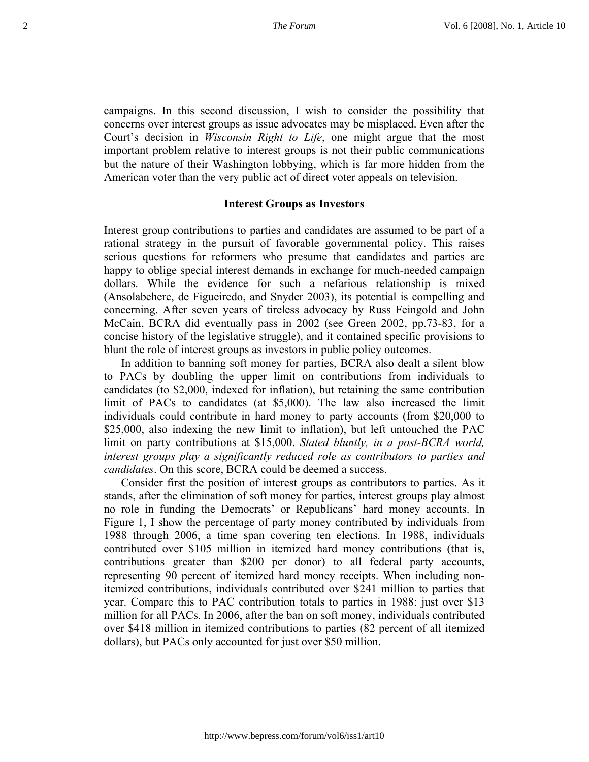campaigns. In this second discussion, I wish to consider the possibility that concerns over interest groups as issue advocates may be misplaced. Even after the Court's decision in *Wisconsin Right to Life*, one might argue that the most important problem relative to interest groups is not their public communications but the nature of their Washington lobbying, which is far more hidden from the American voter than the very public act of direct voter appeals on television.

### **Interest Groups as Investors**

Interest group contributions to parties and candidates are assumed to be part of a rational strategy in the pursuit of favorable governmental policy. This raises serious questions for reformers who presume that candidates and parties are happy to oblige special interest demands in exchange for much-needed campaign dollars. While the evidence for such a nefarious relationship is mixed (Ansolabehere, de Figueiredo, and Snyder 2003), its potential is compelling and concerning. After seven years of tireless advocacy by Russ Feingold and John McCain, BCRA did eventually pass in 2002 (see Green 2002, pp.73-83, for a concise history of the legislative struggle), and it contained specific provisions to blunt the role of interest groups as investors in public policy outcomes.

In addition to banning soft money for parties, BCRA also dealt a silent blow to PACs by doubling the upper limit on contributions from individuals to candidates (to \$2,000, indexed for inflation), but retaining the same contribution limit of PACs to candidates (at \$5,000). The law also increased the limit individuals could contribute in hard money to party accounts (from \$20,000 to \$25,000, also indexing the new limit to inflation), but left untouched the PAC limit on party contributions at \$15,000. *Stated bluntly, in a post-BCRA world, interest groups play a significantly reduced role as contributors to parties and candidates*. On this score, BCRA could be deemed a success.

Consider first the position of interest groups as contributors to parties. As it stands, after the elimination of soft money for parties, interest groups play almost no role in funding the Democrats' or Republicans' hard money accounts. In Figure 1, I show the percentage of party money contributed by individuals from 1988 through 2006, a time span covering ten elections. In 1988, individuals contributed over \$105 million in itemized hard money contributions (that is, contributions greater than \$200 per donor) to all federal party accounts, representing 90 percent of itemized hard money receipts. When including nonitemized contributions, individuals contributed over \$241 million to parties that year. Compare this to PAC contribution totals to parties in 1988: just over \$13 million for all PACs. In 2006, after the ban on soft money, individuals contributed over \$418 million in itemized contributions to parties (82 percent of all itemized dollars), but PACs only accounted for just over \$50 million.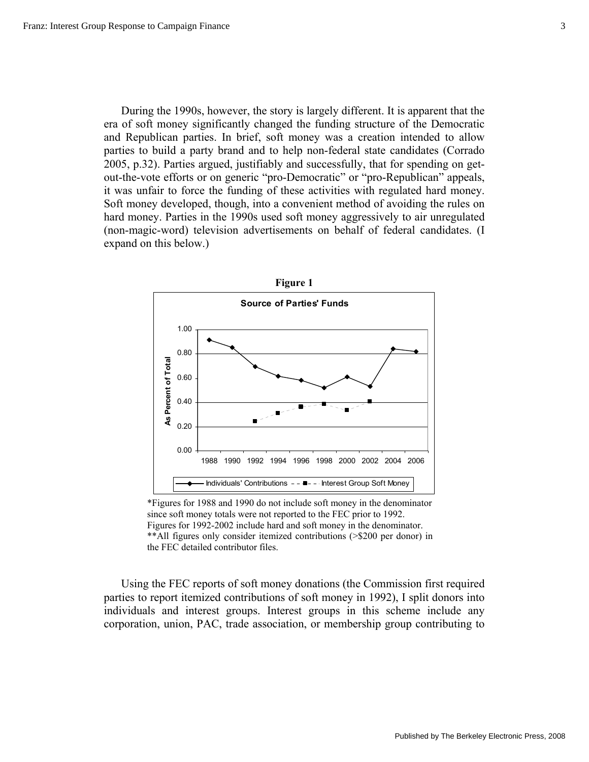During the 1990s, however, the story is largely different. It is apparent that the era of soft money significantly changed the funding structure of the Democratic and Republican parties. In brief, soft money was a creation intended to allow parties to build a party brand and to help non-federal state candidates (Corrado 2005, p.32). Parties argued, justifiably and successfully, that for spending on getout-the-vote efforts or on generic "pro-Democratic" or "pro-Republican" appeals, it was unfair to force the funding of these activities with regulated hard money. Soft money developed, though, into a convenient method of avoiding the rules on hard money. Parties in the 1990s used soft money aggressively to air unregulated (non-magic-word) television advertisements on behalf of federal candidates. (I expand on this below.)



\*Figures for 1988 and 1990 do not include soft money in the denominator since soft money totals were not reported to the FEC prior to 1992. Figures for 1992-2002 include hard and soft money in the denominator. \*\*All figures only consider itemized contributions (>\$200 per donor) in the FEC detailed contributor files.

Using the FEC reports of soft money donations (the Commission first required parties to report itemized contributions of soft money in 1992), I split donors into individuals and interest groups. Interest groups in this scheme include any corporation, union, PAC, trade association, or membership group contributing to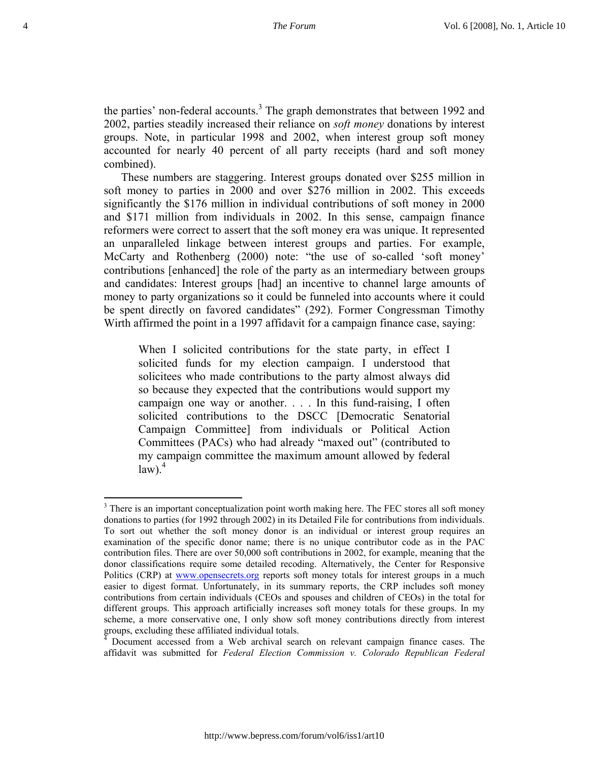the parties' non-federal accounts.<sup>3</sup> The graph demonstrates that between 1992 and 2002, parties steadily increased their reliance on *soft money* donations by interest groups. Note, in particular 1998 and 2002, when interest group soft money accounted for nearly 40 percent of all party receipts (hard and soft money combined).

These numbers are staggering. Interest groups donated over \$255 million in soft money to parties in 2000 and over \$276 million in 2002. This exceeds significantly the \$176 million in individual contributions of soft money in 2000 and \$171 million from individuals in 2002. In this sense, campaign finance reformers were correct to assert that the soft money era was unique. It represented an unparalleled linkage between interest groups and parties. For example, McCarty and Rothenberg (2000) note: "the use of so-called 'soft money' contributions [enhanced] the role of the party as an intermediary between groups and candidates: Interest groups [had] an incentive to channel large amounts of money to party organizations so it could be funneled into accounts where it could be spent directly on favored candidates" (292). Former Congressman Timothy Wirth affirmed the point in a 1997 affidavit for a campaign finance case, saying:

When I solicited contributions for the state party, in effect I solicited funds for my election campaign. I understood that solicitees who made contributions to the party almost always did so because they expected that the contributions would support my campaign one way or another. . . . In this fund-raising, I often solicited contributions to the DSCC [Democratic Senatorial Campaign Committee] from individuals or Political Action Committees (PACs) who had already "maxed out" (contributed to my campaign committee the maximum amount allowed by federal  $law$ ).<sup>4</sup>

 $3$  There is an important conceptualization point worth making here. The FEC stores all soft money donations to parties (for 1992 through 2002) in its Detailed File for contributions from individuals. To sort out whether the soft money donor is an individual or interest group requires an examination of the specific donor name; there is no unique contributor code as in the PAC contribution files. There are over 50,000 soft contributions in 2002, for example, meaning that the donor classifications require some detailed recoding. Alternatively, the Center for Responsive Politics (CRP) at www.opensecrets.org reports soft money totals for interest groups in a much easier to digest format. Unfortunately, in its summary reports, the CRP includes soft money contributions from certain individuals (CEOs and spouses and children of CEOs) in the total for different groups. This approach artificially increases soft money totals for these groups. In my scheme, a more conservative one, I only show soft money contributions directly from interest groups, excluding these affiliated individual totals.

<sup>4</sup> Document accessed from a Web archival search on relevant campaign finance cases. The affidavit was submitted for *Federal Election Commission v. Colorado Republican Federal*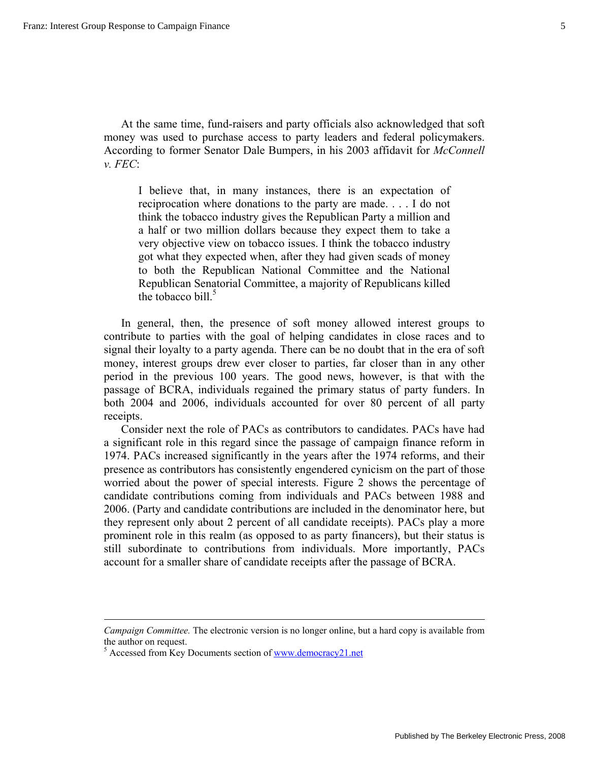At the same time, fund-raisers and party officials also acknowledged that soft money was used to purchase access to party leaders and federal policymakers. According to former Senator Dale Bumpers, in his 2003 affidavit for *McConnell v. FEC*:

I believe that, in many instances, there is an expectation of reciprocation where donations to the party are made. . . . I do not think the tobacco industry gives the Republican Party a million and a half or two million dollars because they expect them to take a very objective view on tobacco issues. I think the tobacco industry got what they expected when, after they had given scads of money to both the Republican National Committee and the National Republican Senatorial Committee, a majority of Republicans killed the tobacco bill. $5$ 

In general, then, the presence of soft money allowed interest groups to contribute to parties with the goal of helping candidates in close races and to signal their loyalty to a party agenda. There can be no doubt that in the era of soft money, interest groups drew ever closer to parties, far closer than in any other period in the previous 100 years. The good news, however, is that with the passage of BCRA, individuals regained the primary status of party funders. In both 2004 and 2006, individuals accounted for over 80 percent of all party receipts.

Consider next the role of PACs as contributors to candidates. PACs have had a significant role in this regard since the passage of campaign finance reform in 1974. PACs increased significantly in the years after the 1974 reforms, and their presence as contributors has consistently engendered cynicism on the part of those worried about the power of special interests. Figure 2 shows the percentage of candidate contributions coming from individuals and PACs between 1988 and 2006. (Party and candidate contributions are included in the denominator here, but they represent only about 2 percent of all candidate receipts). PACs play a more prominent role in this realm (as opposed to as party financers), but their status is still subordinate to contributions from individuals. More importantly, PACs account for a smaller share of candidate receipts after the passage of BCRA.

*Campaign Committee.* The electronic version is no longer online, but a hard copy is available from the author on request.

 $5$  Accessed from Key Documents section of www.democracy21.net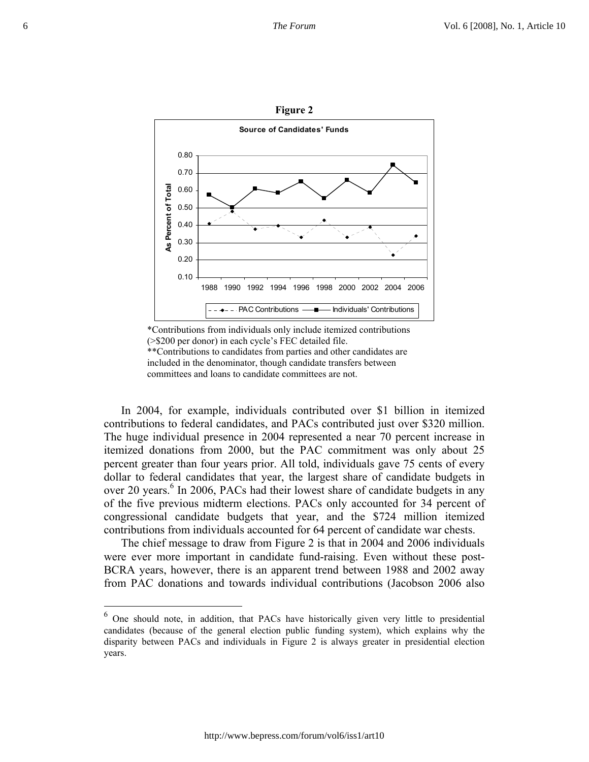

\*Contributions from individuals only include itemized contributions (>\$200 per donor) in each cycle's FEC detailed file. \*\*Contributions to candidates from parties and other candidates are included in the denominator, though candidate transfers between committees and loans to candidate committees are not.

In 2004, for example, individuals contributed over \$1 billion in itemized contributions to federal candidates, and PACs contributed just over \$320 million. The huge individual presence in 2004 represented a near 70 percent increase in itemized donations from 2000, but the PAC commitment was only about 25 percent greater than four years prior. All told, individuals gave 75 cents of every dollar to federal candidates that year, the largest share of candidate budgets in over 20 years.<sup>6</sup> In 2006, PACs had their lowest share of candidate budgets in any of the five previous midterm elections. PACs only accounted for 34 percent of congressional candidate budgets that year, and the \$724 million itemized contributions from individuals accounted for 64 percent of candidate war chests.

The chief message to draw from Figure 2 is that in 2004 and 2006 individuals were ever more important in candidate fund-raising. Even without these post-BCRA years, however, there is an apparent trend between 1988 and 2002 away from PAC donations and towards individual contributions (Jacobson 2006 also

 $6$  One should note, in addition, that PACs have historically given very little to presidential candidates (because of the general election public funding system), which explains why the disparity between PACs and individuals in Figure 2 is always greater in presidential election years.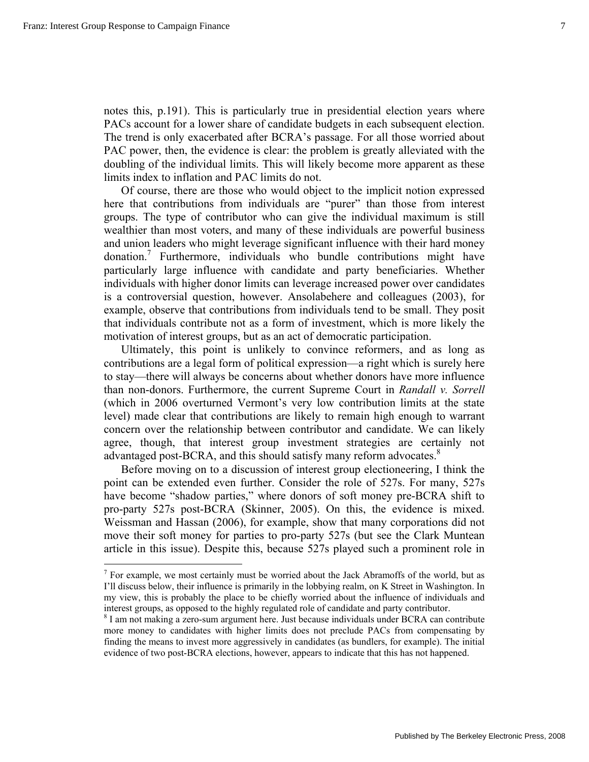1

notes this, p.191). This is particularly true in presidential election years where PACs account for a lower share of candidate budgets in each subsequent election. The trend is only exacerbated after BCRA's passage. For all those worried about PAC power, then, the evidence is clear: the problem is greatly alleviated with the doubling of the individual limits. This will likely become more apparent as these limits index to inflation and PAC limits do not.

Of course, there are those who would object to the implicit notion expressed here that contributions from individuals are "purer" than those from interest groups. The type of contributor who can give the individual maximum is still wealthier than most voters, and many of these individuals are powerful business and union leaders who might leverage significant influence with their hard money donation.7 Furthermore, individuals who bundle contributions might have particularly large influence with candidate and party beneficiaries. Whether individuals with higher donor limits can leverage increased power over candidates is a controversial question, however. Ansolabehere and colleagues (2003), for example, observe that contributions from individuals tend to be small. They posit that individuals contribute not as a form of investment, which is more likely the motivation of interest groups, but as an act of democratic participation.

Ultimately, this point is unlikely to convince reformers, and as long as contributions are a legal form of political expression—a right which is surely here to stay—there will always be concerns about whether donors have more influence than non-donors. Furthermore, the current Supreme Court in *Randall v. Sorrell* (which in 2006 overturned Vermont's very low contribution limits at the state level) made clear that contributions are likely to remain high enough to warrant concern over the relationship between contributor and candidate. We can likely agree, though, that interest group investment strategies are certainly not advantaged post-BCRA, and this should satisfy many reform advocates.<sup>8</sup>

Before moving on to a discussion of interest group electioneering, I think the point can be extended even further. Consider the role of 527s. For many, 527s have become "shadow parties," where donors of soft money pre-BCRA shift to pro-party 527s post-BCRA (Skinner, 2005). On this, the evidence is mixed. Weissman and Hassan (2006), for example, show that many corporations did not move their soft money for parties to pro-party 527s (but see the Clark Muntean article in this issue). Despite this, because 527s played such a prominent role in

 $<sup>7</sup>$  For example, we most certainly must be worried about the Jack Abramoffs of the world, but as</sup> I'll discuss below, their influence is primarily in the lobbying realm, on K Street in Washington. In my view, this is probably the place to be chiefly worried about the influence of individuals and interest groups, as opposed to the highly regulated role of candidate and party contributor.

<sup>&</sup>lt;sup>8</sup> I am not making a zero-sum argument here. Just because individuals under BCRA can contribute more money to candidates with higher limits does not preclude PACs from compensating by finding the means to invest more aggressively in candidates (as bundlers, for example). The initial evidence of two post-BCRA elections, however, appears to indicate that this has not happened.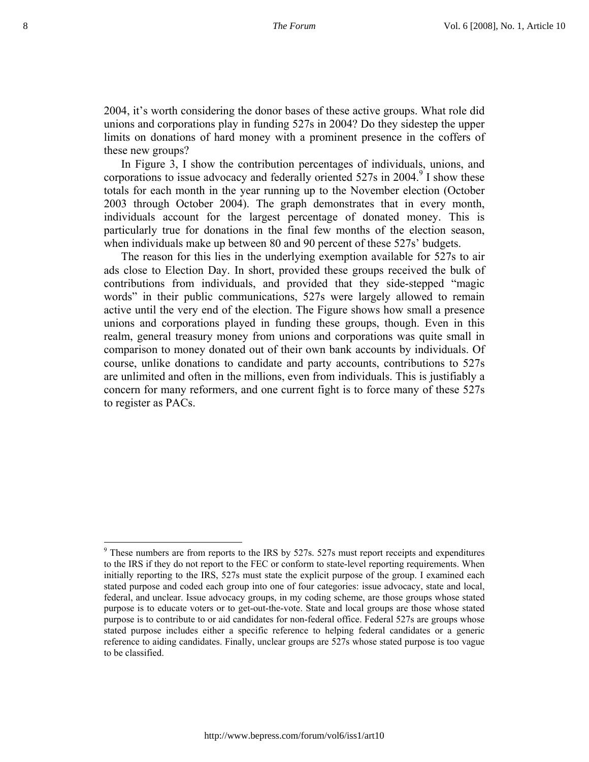2004, it's worth considering the donor bases of these active groups. What role did unions and corporations play in funding 527s in 2004? Do they sidestep the upper limits on donations of hard money with a prominent presence in the coffers of these new groups?

In Figure 3, I show the contribution percentages of individuals, unions, and corporations to issue advocacy and federally oriented  $527s$  in  $2004.$ <sup>9</sup> I show these totals for each month in the year running up to the November election (October 2003 through October 2004). The graph demonstrates that in every month, individuals account for the largest percentage of donated money. This is particularly true for donations in the final few months of the election season, when individuals make up between 80 and 90 percent of these 527s' budgets.

The reason for this lies in the underlying exemption available for 527s to air ads close to Election Day. In short, provided these groups received the bulk of contributions from individuals, and provided that they side-stepped "magic words" in their public communications, 527s were largely allowed to remain active until the very end of the election. The Figure shows how small a presence unions and corporations played in funding these groups, though. Even in this realm, general treasury money from unions and corporations was quite small in comparison to money donated out of their own bank accounts by individuals. Of course, unlike donations to candidate and party accounts, contributions to 527s are unlimited and often in the millions, even from individuals. This is justifiably a concern for many reformers, and one current fight is to force many of these 527s to register as PACs.

 $9^9$  These numbers are from reports to the IRS by 527s. 527s must report receipts and expenditures to the IRS if they do not report to the FEC or conform to state-level reporting requirements. When initially reporting to the IRS, 527s must state the explicit purpose of the group. I examined each stated purpose and coded each group into one of four categories: issue advocacy, state and local, federal, and unclear. Issue advocacy groups, in my coding scheme, are those groups whose stated purpose is to educate voters or to get-out-the-vote. State and local groups are those whose stated purpose is to contribute to or aid candidates for non-federal office. Federal 527s are groups whose stated purpose includes either a specific reference to helping federal candidates or a generic reference to aiding candidates. Finally, unclear groups are 527s whose stated purpose is too vague to be classified.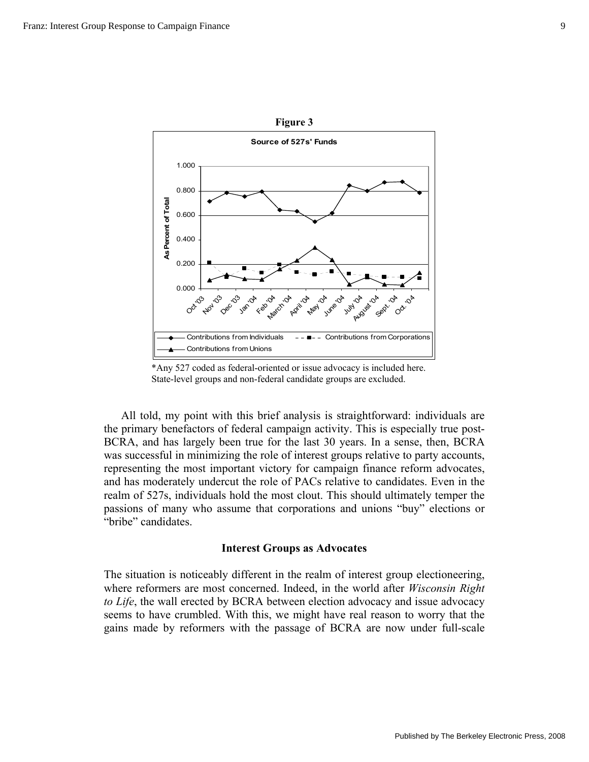





All told, my point with this brief analysis is straightforward: individuals are the primary benefactors of federal campaign activity. This is especially true post-BCRA, and has largely been true for the last 30 years. In a sense, then, BCRA was successful in minimizing the role of interest groups relative to party accounts, representing the most important victory for campaign finance reform advocates, and has moderately undercut the role of PACs relative to candidates. Even in the realm of 527s, individuals hold the most clout. This should ultimately temper the passions of many who assume that corporations and unions "buy" elections or "bribe" candidates.

#### **Interest Groups as Advocates**

The situation is noticeably different in the realm of interest group electioneering, where reformers are most concerned. Indeed, in the world after *Wisconsin Right to Life*, the wall erected by BCRA between election advocacy and issue advocacy seems to have crumbled. With this, we might have real reason to worry that the gains made by reformers with the passage of BCRA are now under full-scale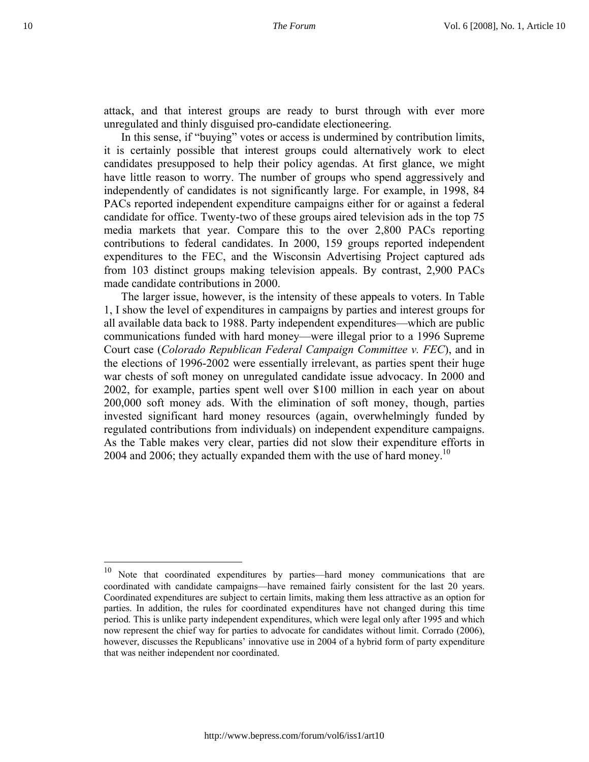attack, and that interest groups are ready to burst through with ever more unregulated and thinly disguised pro-candidate electioneering.

In this sense, if "buying" votes or access is undermined by contribution limits, it is certainly possible that interest groups could alternatively work to elect candidates presupposed to help their policy agendas. At first glance, we might have little reason to worry. The number of groups who spend aggressively and independently of candidates is not significantly large. For example, in 1998, 84 PACs reported independent expenditure campaigns either for or against a federal candidate for office. Twenty-two of these groups aired television ads in the top 75 media markets that year. Compare this to the over 2,800 PACs reporting contributions to federal candidates. In 2000, 159 groups reported independent expenditures to the FEC, and the Wisconsin Advertising Project captured ads from 103 distinct groups making television appeals. By contrast, 2,900 PACs made candidate contributions in 2000.

The larger issue, however, is the intensity of these appeals to voters. In Table 1, I show the level of expenditures in campaigns by parties and interest groups for all available data back to 1988. Party independent expenditures—which are public communications funded with hard money—were illegal prior to a 1996 Supreme Court case (*Colorado Republican Federal Campaign Committee v. FEC*), and in the elections of 1996-2002 were essentially irrelevant, as parties spent their huge war chests of soft money on unregulated candidate issue advocacy. In 2000 and 2002, for example, parties spent well over \$100 million in each year on about 200,000 soft money ads. With the elimination of soft money, though, parties invested significant hard money resources (again, overwhelmingly funded by regulated contributions from individuals) on independent expenditure campaigns. As the Table makes very clear, parties did not slow their expenditure efforts in 2004 and 2006; they actually expanded them with the use of hard money.<sup>10</sup>

<sup>10</sup> Note that coordinated expenditures by parties—hard money communications that are coordinated with candidate campaigns—have remained fairly consistent for the last 20 years. Coordinated expenditures are subject to certain limits, making them less attractive as an option for parties. In addition, the rules for coordinated expenditures have not changed during this time period. This is unlike party independent expenditures, which were legal only after 1995 and which now represent the chief way for parties to advocate for candidates without limit. Corrado (2006), however, discusses the Republicans' innovative use in 2004 of a hybrid form of party expenditure that was neither independent nor coordinated.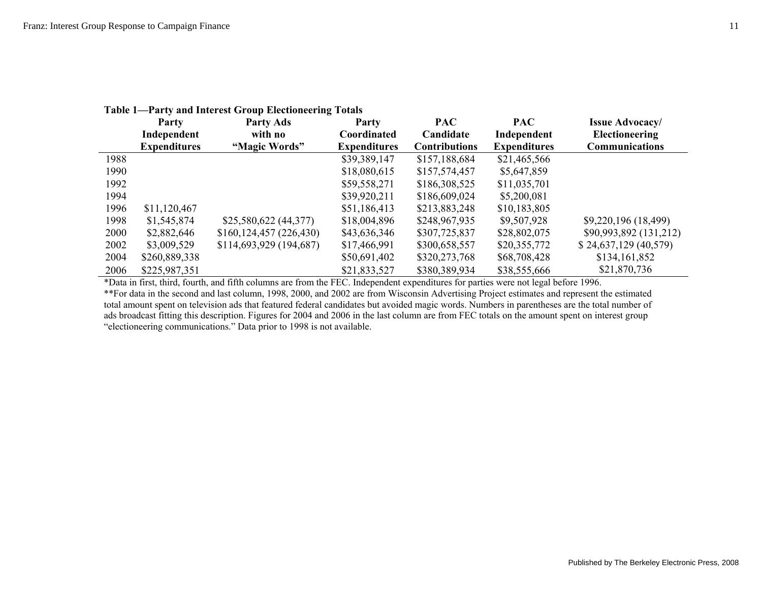|      | Party<br>Independent | <b>Party Ads</b><br>with no | $\overline{\phantom{a}}$<br>Party<br>Coordinated | <b>PAC</b><br>Candidate | <b>PAC</b><br>Independent | <b>Issue Advocacy/</b><br><b>Electioneering</b> |
|------|----------------------|-----------------------------|--------------------------------------------------|-------------------------|---------------------------|-------------------------------------------------|
|      | <b>Expenditures</b>  | "Magic Words"               | <b>Expenditures</b>                              | <b>Contributions</b>    | <b>Expenditures</b>       | <b>Communications</b>                           |
| 1988 |                      |                             | \$39,389,147                                     | \$157,188,684           | \$21,465,566              |                                                 |
| 1990 |                      |                             | \$18,080,615                                     | \$157,574,457           | \$5,647,859               |                                                 |
| 1992 |                      |                             | \$59,558,271                                     | \$186,308,525           | \$11,035,701              |                                                 |
| 1994 |                      |                             | \$39,920,211                                     | \$186,609,024           | \$5,200,081               |                                                 |
| 1996 | \$11,120,467         |                             | \$51,186,413                                     | \$213,883,248           | \$10,183,805              |                                                 |
| 1998 | \$1,545,874          | $$25,580,622$ (44,377)      | \$18,004,896                                     | \$248,967,935           | \$9,507,928               | \$9,220,196 (18,499)                            |
| 2000 | \$2,882,646          | \$160, 124, 457 (226, 430)  | \$43,636,346                                     | \$307,725,837           | \$28,802,075              | \$90,993,892 (131,212)                          |
| 2002 | \$3,009,529          | \$114,693,929(194,687)      | \$17,466,991                                     | \$300,658,557           | \$20,355,772              | \$24,637,129 (40,579)                           |
| 2004 | \$260,889,338        |                             | \$50,691,402                                     | \$320,273,768           | \$68,708,428              | \$134,161,852                                   |
| 2006 | \$225,987,351        |                             | \$21,833,527                                     | \$380,389,934           | \$38,555,666              | \$21,870,736                                    |

#### **Table 1—Party and Interest Group Electioneering Totals**

\*Data in first, third, fourth, and fifth columns are from the FEC. Independent expenditures for parties were not legal before 1996. \*\*For data in the second and last column, 1998, 2000, and 2002 are from Wisconsin Advertising Project estimates and represent the estimated total amount spent on television ads that featured federal candidates but avoided magic words. Numbers in parentheses are the total number of ads broadcast fitting this description. Figures for 2004 and 2006 in the last column are from FEC totals on the amount spent on interest group "electioneering communications." Data prior to 1998 is not available.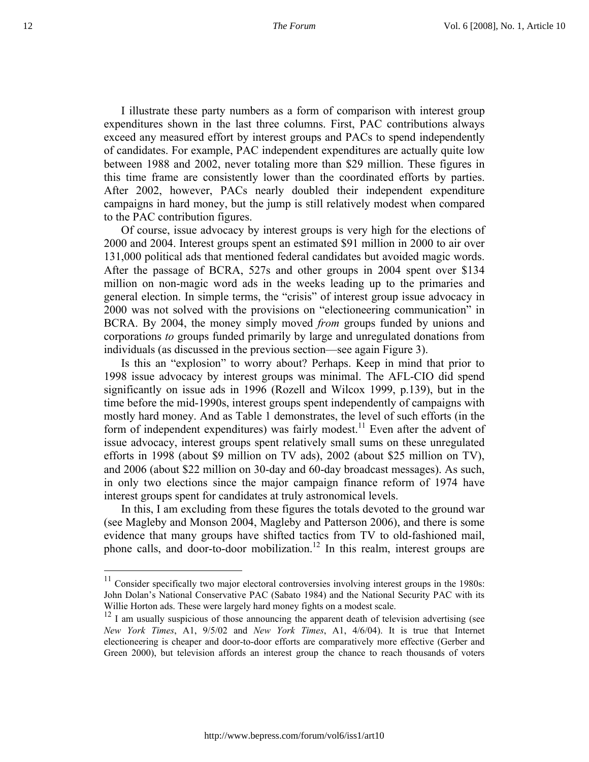I illustrate these party numbers as a form of comparison with interest group expenditures shown in the last three columns. First, PAC contributions always exceed any measured effort by interest groups and PACs to spend independently of candidates. For example, PAC independent expenditures are actually quite low between 1988 and 2002, never totaling more than \$29 million. These figures in this time frame are consistently lower than the coordinated efforts by parties. After 2002, however, PACs nearly doubled their independent expenditure campaigns in hard money, but the jump is still relatively modest when compared to the PAC contribution figures.

Of course, issue advocacy by interest groups is very high for the elections of 2000 and 2004. Interest groups spent an estimated \$91 million in 2000 to air over 131,000 political ads that mentioned federal candidates but avoided magic words. After the passage of BCRA, 527s and other groups in 2004 spent over \$134 million on non-magic word ads in the weeks leading up to the primaries and general election. In simple terms, the "crisis" of interest group issue advocacy in 2000 was not solved with the provisions on "electioneering communication" in BCRA. By 2004, the money simply moved *from* groups funded by unions and corporations *to* groups funded primarily by large and unregulated donations from individuals (as discussed in the previous section—see again Figure 3).

Is this an "explosion" to worry about? Perhaps. Keep in mind that prior to 1998 issue advocacy by interest groups was minimal. The AFL-CIO did spend significantly on issue ads in 1996 (Rozell and Wilcox 1999, p.139), but in the time before the mid-1990s, interest groups spent independently of campaigns with mostly hard money. And as Table 1 demonstrates, the level of such efforts (in the form of independent expenditures) was fairly modest.<sup>11</sup> Even after the advent of issue advocacy, interest groups spent relatively small sums on these unregulated efforts in 1998 (about \$9 million on TV ads), 2002 (about \$25 million on TV), and 2006 (about \$22 million on 30-day and 60-day broadcast messages). As such, in only two elections since the major campaign finance reform of 1974 have interest groups spent for candidates at truly astronomical levels.

In this, I am excluding from these figures the totals devoted to the ground war (see Magleby and Monson 2004, Magleby and Patterson 2006), and there is some evidence that many groups have shifted tactics from TV to old-fashioned mail, phone calls, and door-to-door mobilization.12 In this realm, interest groups are

 $11$  Consider specifically two major electoral controversies involving interest groups in the 1980s: John Dolan's National Conservative PAC (Sabato 1984) and the National Security PAC with its Willie Horton ads. These were largely hard money fights on a modest scale.

 $12$  I am usually suspicious of those announcing the apparent death of television advertising (see *New York Times*, A1, 9/5/02 and *New York Times*, A1, 4/6/04). It is true that Internet electioneering is cheaper and door-to-door efforts are comparatively more effective (Gerber and Green 2000), but television affords an interest group the chance to reach thousands of voters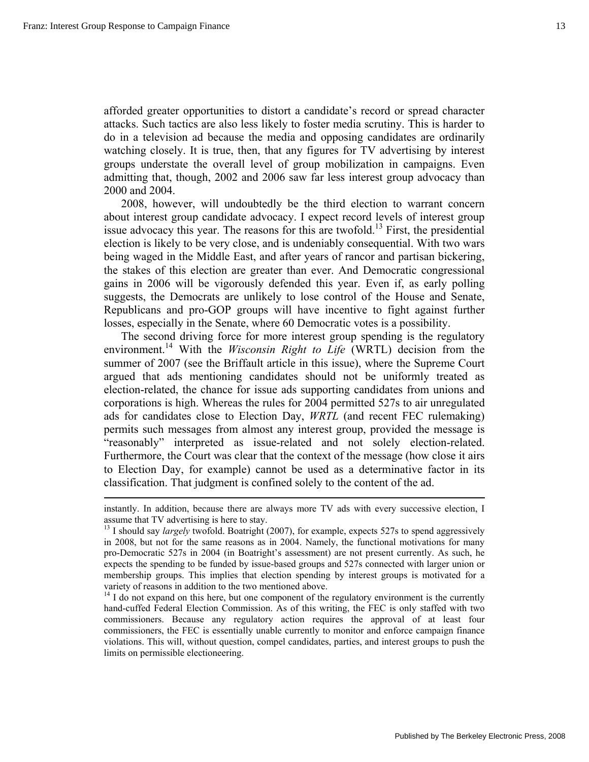afforded greater opportunities to distort a candidate's record or spread character attacks. Such tactics are also less likely to foster media scrutiny. This is harder to do in a television ad because the media and opposing candidates are ordinarily watching closely. It is true, then, that any figures for TV advertising by interest groups understate the overall level of group mobilization in campaigns. Even admitting that, though, 2002 and 2006 saw far less interest group advocacy than 2000 and 2004.

2008, however, will undoubtedly be the third election to warrant concern about interest group candidate advocacy. I expect record levels of interest group issue advocacy this year. The reasons for this are twofold.<sup>13</sup> First, the presidential election is likely to be very close, and is undeniably consequential. With two wars being waged in the Middle East, and after years of rancor and partisan bickering, the stakes of this election are greater than ever. And Democratic congressional gains in 2006 will be vigorously defended this year. Even if, as early polling suggests, the Democrats are unlikely to lose control of the House and Senate, Republicans and pro-GOP groups will have incentive to fight against further losses, especially in the Senate, where 60 Democratic votes is a possibility.

The second driving force for more interest group spending is the regulatory environment.<sup>14</sup> With the *Wisconsin Right to Life* (WRTL) decision from the summer of 2007 (see the Briffault article in this issue), where the Supreme Court argued that ads mentioning candidates should not be uniformly treated as election-related, the chance for issue ads supporting candidates from unions and corporations is high. Whereas the rules for 2004 permitted 527s to air unregulated ads for candidates close to Election Day, *WRTL* (and recent FEC rulemaking) permits such messages from almost any interest group, provided the message is "reasonably" interpreted as issue-related and not solely election-related. Furthermore, the Court was clear that the context of the message (how close it airs to Election Day, for example) cannot be used as a determinative factor in its classification. That judgment is confined solely to the content of the ad.

instantly. In addition, because there are always more TV ads with every successive election, I assume that TV advertising is here to stay.

<sup>&</sup>lt;sup>13</sup> I should say *largely* twofold. Boatright (2007), for example, expects 527s to spend aggressively in 2008, but not for the same reasons as in 2004. Namely, the functional motivations for many pro-Democratic 527s in 2004 (in Boatright's assessment) are not present currently. As such, he expects the spending to be funded by issue-based groups and 527s connected with larger union or membership groups. This implies that election spending by interest groups is motivated for a variety of reasons in addition to the two mentioned above.

<sup>&</sup>lt;sup>14</sup> I do not expand on this here, but one component of the regulatory environment is the currently hand-cuffed Federal Election Commission. As of this writing, the FEC is only staffed with two commissioners. Because any regulatory action requires the approval of at least four commissioners, the FEC is essentially unable currently to monitor and enforce campaign finance violations. This will, without question, compel candidates, parties, and interest groups to push the limits on permissible electioneering.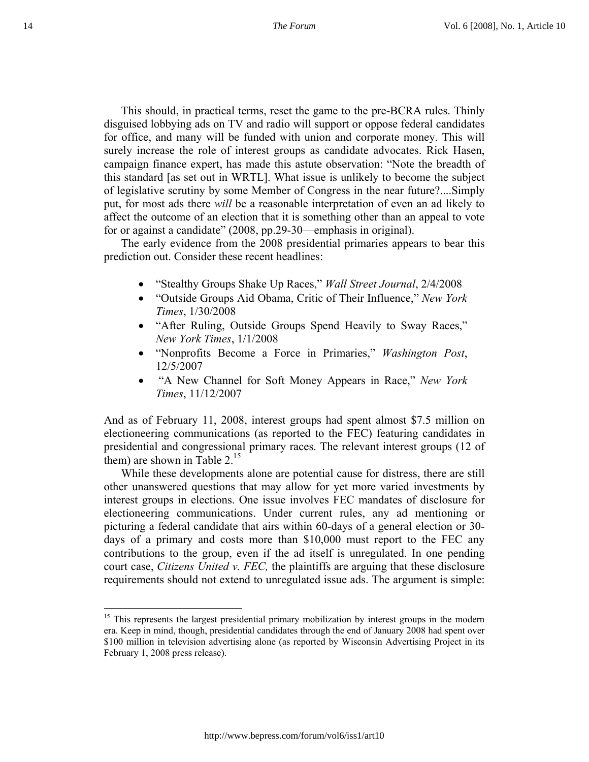This should, in practical terms, reset the game to the pre-BCRA rules. Thinly disguised lobbying ads on TV and radio will support or oppose federal candidates for office, and many will be funded with union and corporate money. This will surely increase the role of interest groups as candidate advocates. Rick Hasen, campaign finance expert, has made this astute observation: "Note the breadth of this standard [as set out in WRTL]. What issue is unlikely to become the subject of legislative scrutiny by some Member of Congress in the near future?....Simply put, for most ads there *will* be a reasonable interpretation of even an ad likely to affect the outcome of an election that it is something other than an appeal to vote for or against a candidate" (2008, pp.29-30—emphasis in original).

The early evidence from the 2008 presidential primaries appears to bear this prediction out. Consider these recent headlines:

- "Stealthy Groups Shake Up Races," *Wall Street Journal*, 2/4/2008
- "Outside Groups Aid Obama, Critic of Their Influence," *New York Times*, 1/30/2008
- "After Ruling, Outside Groups Spend Heavily to Sway Races," *New York Times*, 1/1/2008
- "Nonprofits Become a Force in Primaries," *Washington Post*, 12/5/2007
- "A New Channel for Soft Money Appears in Race," *New York Times*, 11/12/2007

And as of February 11, 2008, interest groups had spent almost \$7.5 million on electioneering communications (as reported to the FEC) featuring candidates in presidential and congressional primary races. The relevant interest groups (12 of them) are shown in Table  $2^{15}$ 

While these developments alone are potential cause for distress, there are still other unanswered questions that may allow for yet more varied investments by interest groups in elections. One issue involves FEC mandates of disclosure for electioneering communications. Under current rules, any ad mentioning or picturing a federal candidate that airs within 60-days of a general election or 30 days of a primary and costs more than \$10,000 must report to the FEC any contributions to the group, even if the ad itself is unregulated. In one pending court case, *Citizens United v. FEC,* the plaintiffs are arguing that these disclosure requirements should not extend to unregulated issue ads. The argument is simple:

<sup>&</sup>lt;sup>15</sup> This represents the largest presidential primary mobilization by interest groups in the modern era. Keep in mind, though, presidential candidates through the end of January 2008 had spent over \$100 million in television advertising alone (as reported by Wisconsin Advertising Project in its February 1, 2008 press release).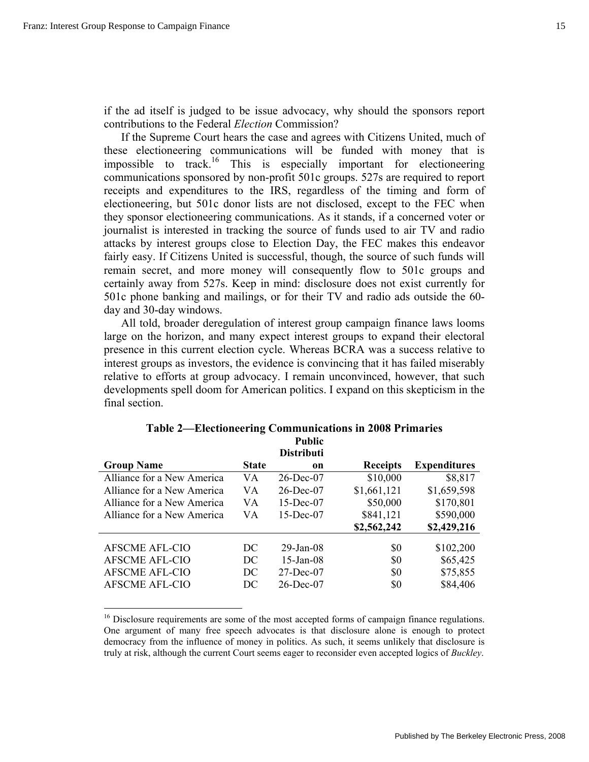$\overline{a}$ 

if the ad itself is judged to be issue advocacy, why should the sponsors report contributions to the Federal *Election* Commission?

If the Supreme Court hears the case and agrees with Citizens United, much of these electioneering communications will be funded with money that is impossible to track.<sup>16</sup> This is especially important for electioneering communications sponsored by non-profit 501c groups. 527s are required to report receipts and expenditures to the IRS, regardless of the timing and form of electioneering, but 501c donor lists are not disclosed, except to the FEC when they sponsor electioneering communications. As it stands, if a concerned voter or journalist is interested in tracking the source of funds used to air TV and radio attacks by interest groups close to Election Day, the FEC makes this endeavor fairly easy. If Citizens United is successful, though, the source of such funds will remain secret, and more money will consequently flow to 501c groups and certainly away from 527s. Keep in mind: disclosure does not exist currently for 501c phone banking and mailings, or for their TV and radio ads outside the 60 day and 30-day windows.

All told, broader deregulation of interest group campaign finance laws looms large on the horizon, and many expect interest groups to expand their electoral presence in this current election cycle. Whereas BCRA was a success relative to interest groups as investors, the evidence is convincing that it has failed miserably relative to efforts at group advocacy. I remain unconvinced, however, that such developments spell doom for American politics. I expand on this skepticism in the final section.

|                            |              | <b>Distributi</b> |                 |                     |
|----------------------------|--------------|-------------------|-----------------|---------------------|
| <b>Group Name</b>          | <b>State</b> | on                | <b>Receipts</b> | <b>Expenditures</b> |
| Alliance for a New America | VА           | 26-Dec-07         | \$10,000        | \$8,817             |
| Alliance for a New America | VA           | $26$ -Dec-07      | \$1,661,121     | \$1,659,598         |
| Alliance for a New America | VA.          | $15$ -Dec-07      | \$50,000        | \$170,801           |
| Alliance for a New America | VА           | $15$ -Dec-07      | \$841,121       | \$590,000           |
|                            |              |                   | \$2,562,242     | \$2,429,216         |
| <b>AFSCME AFL-CIO</b>      | DC           | $29$ -Jan-08      | \$0             | \$102,200           |
|                            |              |                   |                 |                     |
| <b>AFSCME AFL-CIO</b>      | DC           | $15$ -Jan-08      | \$0             | \$65,425            |
| <b>AFSCME AFL-CIO</b>      | DC           | $27 - Dec-07$     | \$0             | \$75,855            |
| <b>AFSCME AFL-CIO</b>      | DC           | $26$ -Dec-07      | \$0             | \$84,406            |
|                            |              |                   |                 |                     |

| <b>Table 2—Electioneering Communications in 2008 Primaries</b> |
|----------------------------------------------------------------|
| <b>Public</b>                                                  |

<sup>&</sup>lt;sup>16</sup> Disclosure requirements are some of the most accepted forms of campaign finance regulations. One argument of many free speech advocates is that disclosure alone is enough to protect democracy from the influence of money in politics. As such, it seems unlikely that disclosure is truly at risk, although the current Court seems eager to reconsider even accepted logics of *Buckley*.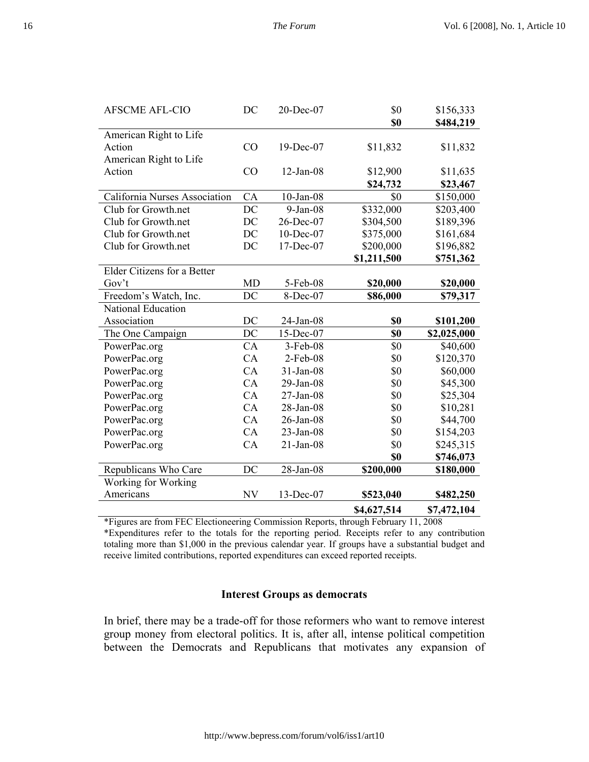| <b>AFSCME AFL-CIO</b>              | DC        | 20-Dec-07    | \$0         | \$156,333   |
|------------------------------------|-----------|--------------|-------------|-------------|
|                                    |           |              | \$0         | \$484,219   |
| American Right to Life             |           |              |             |             |
| Action                             | CO        | 19-Dec-07    | \$11,832    | \$11,832    |
| American Right to Life             |           |              |             |             |
| Action                             | CO        | $12$ -Jan-08 | \$12,900    | \$11,635    |
|                                    |           |              | \$24,732    | \$23,467    |
| California Nurses Association      | CA        | $10$ -Jan-08 | \$0         | \$150,000   |
| Club for Growth.net                | DC        | $9-Jan-08$   | \$332,000   | \$203,400   |
| Club for Growth.net                | DC        | 26-Dec-07    | \$304,500   | \$189,396   |
| Club for Growth.net                | DC        | 10-Dec-07    | \$375,000   | \$161,684   |
| Club for Growth.net                | DC        | 17-Dec-07    | \$200,000   | \$196,882   |
|                                    |           |              | \$1,211,500 | \$751,362   |
| <b>Elder Citizens for a Better</b> |           |              |             |             |
| Gov't                              | <b>MD</b> | 5-Feb-08     | \$20,000    | \$20,000    |
| Freedom's Watch, Inc.              | DC        | 8-Dec-07     | \$86,000    | \$79,317    |
| National Education                 |           |              |             |             |
| Association                        | DC        | 24-Jan-08    | \$0         | \$101,200   |
| The One Campaign                   | DC        | 15-Dec-07    | \$0         | \$2,025,000 |
| PowerPac.org                       | CA        | 3-Feb-08     | \$0         | \$40,600    |
| PowerPac.org                       | CA        | 2-Feb-08     | \$0         | \$120,370   |
| PowerPac.org                       | CA        | 31-Jan-08    | \$0         | \$60,000    |
| PowerPac.org                       | CA        | 29-Jan-08    | \$0         | \$45,300    |
| PowerPac.org                       | CA        | 27-Jan-08    | \$0         | \$25,304    |
| PowerPac.org                       | CA        | 28-Jan-08    | \$0         | \$10,281    |
| PowerPac.org                       | CA        | 26-Jan-08    | \$0         | \$44,700    |
| PowerPac.org                       | CA        | $23$ -Jan-08 | \$0         | \$154,203   |
| PowerPac.org                       | CA        | $21$ -Jan-08 | \$0         | \$245,315   |
|                                    |           |              | \$0         | \$746,073   |
| Republicans Who Care               | DC        | 28-Jan-08    | \$200,000   | \$180,000   |
| Working for Working                |           |              |             |             |
| Americans                          | NV        | 13-Dec-07    | \$523,040   | \$482,250   |
|                                    |           |              | \$4,627,514 | \$7,472,104 |

\*Figures are from FEC Electioneering Commission Reports, through February 11, 2008

\*Expenditures refer to the totals for the reporting period. Receipts refer to any contribution totaling more than \$1,000 in the previous calendar year. If groups have a substantial budget and receive limited contributions, reported expenditures can exceed reported receipts.

## **Interest Groups as democrats**

In brief, there may be a trade-off for those reformers who want to remove interest group money from electoral politics. It is, after all, intense political competition between the Democrats and Republicans that motivates any expansion of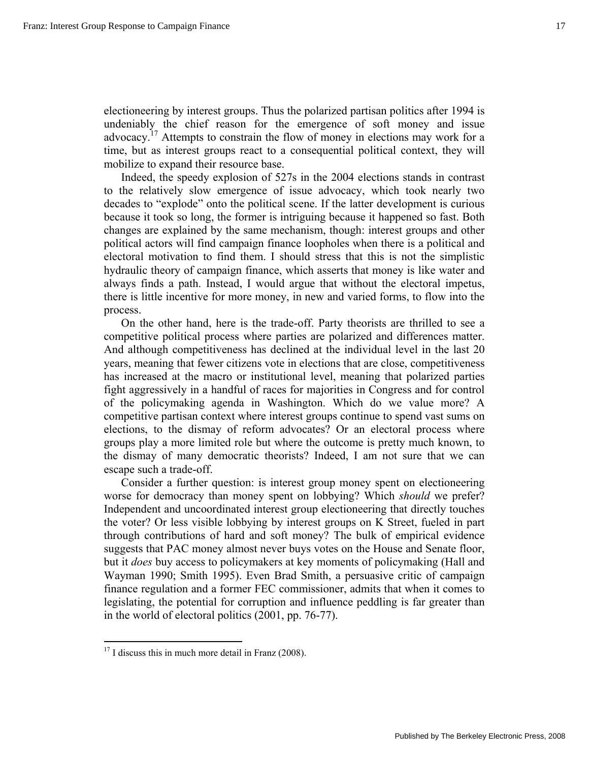electioneering by interest groups. Thus the polarized partisan politics after 1994 is undeniably the chief reason for the emergence of soft money and issue advocacy.17 Attempts to constrain the flow of money in elections may work for a time, but as interest groups react to a consequential political context, they will mobilize to expand their resource base.

Indeed, the speedy explosion of 527s in the 2004 elections stands in contrast to the relatively slow emergence of issue advocacy, which took nearly two decades to "explode" onto the political scene. If the latter development is curious because it took so long, the former is intriguing because it happened so fast. Both changes are explained by the same mechanism, though: interest groups and other political actors will find campaign finance loopholes when there is a political and electoral motivation to find them. I should stress that this is not the simplistic hydraulic theory of campaign finance, which asserts that money is like water and always finds a path. Instead, I would argue that without the electoral impetus, there is little incentive for more money, in new and varied forms, to flow into the process.

On the other hand, here is the trade-off. Party theorists are thrilled to see a competitive political process where parties are polarized and differences matter. And although competitiveness has declined at the individual level in the last 20 years, meaning that fewer citizens vote in elections that are close, competitiveness has increased at the macro or institutional level, meaning that polarized parties fight aggressively in a handful of races for majorities in Congress and for control of the policymaking agenda in Washington. Which do we value more? A competitive partisan context where interest groups continue to spend vast sums on elections, to the dismay of reform advocates? Or an electoral process where groups play a more limited role but where the outcome is pretty much known, to the dismay of many democratic theorists? Indeed, I am not sure that we can escape such a trade-off.

Consider a further question: is interest group money spent on electioneering worse for democracy than money spent on lobbying? Which *should* we prefer? Independent and uncoordinated interest group electioneering that directly touches the voter? Or less visible lobbying by interest groups on K Street, fueled in part through contributions of hard and soft money? The bulk of empirical evidence suggests that PAC money almost never buys votes on the House and Senate floor, but it *does* buy access to policymakers at key moments of policymaking (Hall and Wayman 1990; Smith 1995). Even Brad Smith, a persuasive critic of campaign finance regulation and a former FEC commissioner, admits that when it comes to legislating, the potential for corruption and influence peddling is far greater than in the world of electoral politics (2001, pp. 76-77).

 $17$  I discuss this in much more detail in Franz (2008).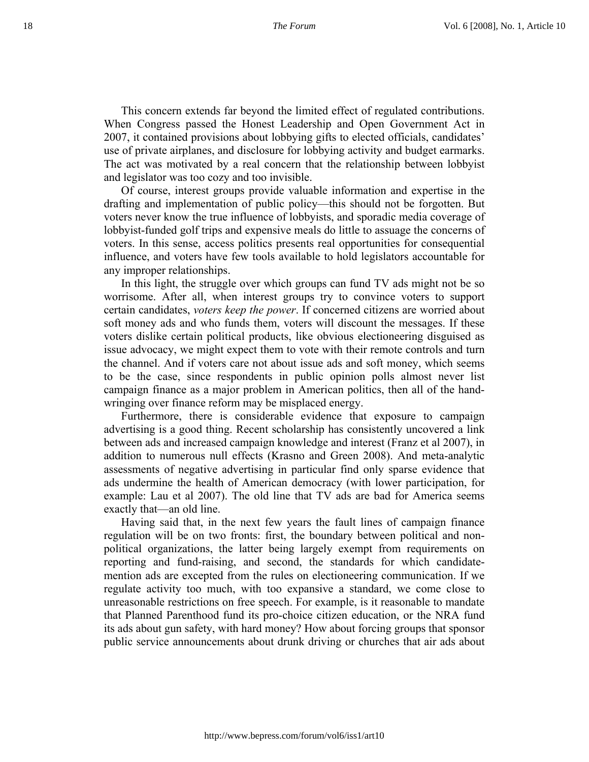This concern extends far beyond the limited effect of regulated contributions. When Congress passed the Honest Leadership and Open Government Act in 2007, it contained provisions about lobbying gifts to elected officials, candidates' use of private airplanes, and disclosure for lobbying activity and budget earmarks. The act was motivated by a real concern that the relationship between lobbyist and legislator was too cozy and too invisible.

Of course, interest groups provide valuable information and expertise in the drafting and implementation of public policy—this should not be forgotten. But voters never know the true influence of lobbyists, and sporadic media coverage of lobbyist-funded golf trips and expensive meals do little to assuage the concerns of voters. In this sense, access politics presents real opportunities for consequential influence, and voters have few tools available to hold legislators accountable for any improper relationships.

In this light, the struggle over which groups can fund TV ads might not be so worrisome. After all, when interest groups try to convince voters to support certain candidates, *voters keep the power*. If concerned citizens are worried about soft money ads and who funds them, voters will discount the messages. If these voters dislike certain political products, like obvious electioneering disguised as issue advocacy, we might expect them to vote with their remote controls and turn the channel. And if voters care not about issue ads and soft money, which seems to be the case, since respondents in public opinion polls almost never list campaign finance as a major problem in American politics, then all of the handwringing over finance reform may be misplaced energy.

Furthermore, there is considerable evidence that exposure to campaign advertising is a good thing. Recent scholarship has consistently uncovered a link between ads and increased campaign knowledge and interest (Franz et al 2007), in addition to numerous null effects (Krasno and Green 2008). And meta-analytic assessments of negative advertising in particular find only sparse evidence that ads undermine the health of American democracy (with lower participation, for example: Lau et al 2007). The old line that TV ads are bad for America seems exactly that—an old line.

Having said that, in the next few years the fault lines of campaign finance regulation will be on two fronts: first, the boundary between political and nonpolitical organizations, the latter being largely exempt from requirements on reporting and fund-raising, and second, the standards for which candidatemention ads are excepted from the rules on electioneering communication. If we regulate activity too much, with too expansive a standard, we come close to unreasonable restrictions on free speech. For example, is it reasonable to mandate that Planned Parenthood fund its pro-choice citizen education, or the NRA fund its ads about gun safety, with hard money? How about forcing groups that sponsor public service announcements about drunk driving or churches that air ads about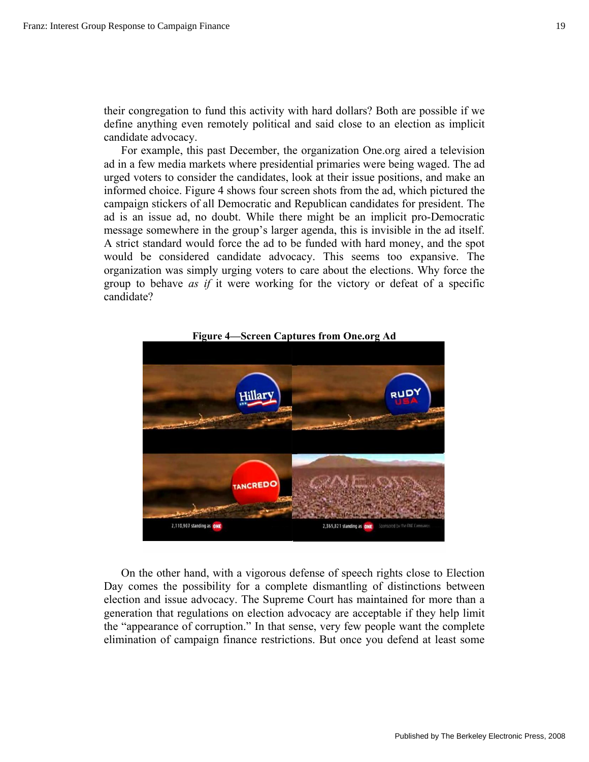their congregation to fund this activity with hard dollars? Both are possible if we define anything even remotely political and said close to an election as implicit candidate advocacy.

For example, this past December, the organization One.org aired a television ad in a few media markets where presidential primaries were being waged. The ad urged voters to consider the candidates, look at their issue positions, and make an informed choice. Figure 4 shows four screen shots from the ad, which pictured the campaign stickers of all Democratic and Republican candidates for president. The ad is an issue ad, no doubt. While there might be an implicit pro-Democratic message somewhere in the group's larger agenda, this is invisible in the ad itself. A strict standard would force the ad to be funded with hard money, and the spot would be considered candidate advocacy. This seems too expansive. The organization was simply urging voters to care about the elections. Why force the group to behave *as if* it were working for the victory or defeat of a specific candidate?



On the other hand, with a vigorous defense of speech rights close to Election Day comes the possibility for a complete dismantling of distinctions between election and issue advocacy. The Supreme Court has maintained for more than a generation that regulations on election advocacy are acceptable if they help limit the "appearance of corruption." In that sense, very few people want the complete elimination of campaign finance restrictions. But once you defend at least some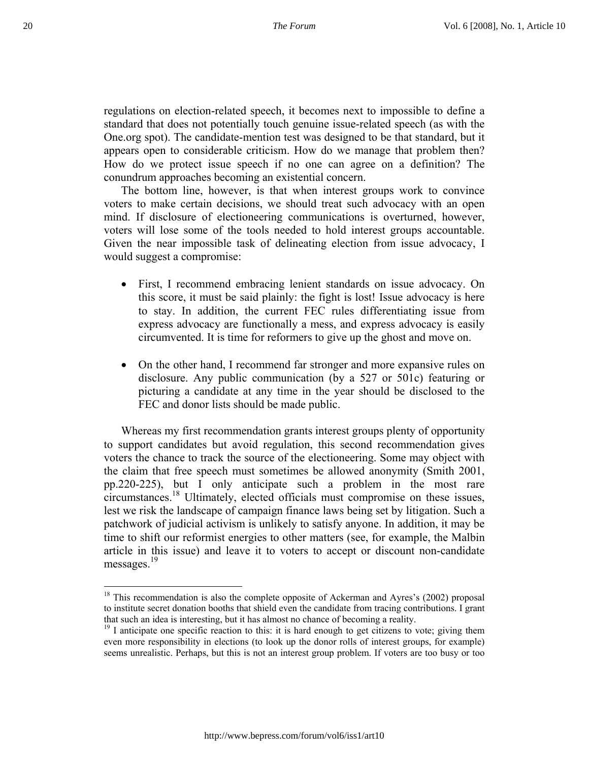regulations on election-related speech, it becomes next to impossible to define a standard that does not potentially touch genuine issue-related speech (as with the One.org spot). The candidate-mention test was designed to be that standard, but it appears open to considerable criticism. How do we manage that problem then? How do we protect issue speech if no one can agree on a definition? The conundrum approaches becoming an existential concern.

The bottom line, however, is that when interest groups work to convince voters to make certain decisions, we should treat such advocacy with an open mind. If disclosure of electioneering communications is overturned, however, voters will lose some of the tools needed to hold interest groups accountable. Given the near impossible task of delineating election from issue advocacy, I would suggest a compromise:

- First, I recommend embracing lenient standards on issue advocacy. On this score, it must be said plainly: the fight is lost! Issue advocacy is here to stay. In addition, the current FEC rules differentiating issue from express advocacy are functionally a mess, and express advocacy is easily circumvented. It is time for reformers to give up the ghost and move on.
- On the other hand, I recommend far stronger and more expansive rules on disclosure. Any public communication (by a 527 or 501c) featuring or picturing a candidate at any time in the year should be disclosed to the FEC and donor lists should be made public.

Whereas my first recommendation grants interest groups plenty of opportunity to support candidates but avoid regulation, this second recommendation gives voters the chance to track the source of the electioneering. Some may object with the claim that free speech must sometimes be allowed anonymity (Smith 2001, pp.220-225), but I only anticipate such a problem in the most rare circumstances.18 Ultimately, elected officials must compromise on these issues, lest we risk the landscape of campaign finance laws being set by litigation. Such a patchwork of judicial activism is unlikely to satisfy anyone. In addition, it may be time to shift our reformist energies to other matters (see, for example, the Malbin article in this issue) and leave it to voters to accept or discount non-candidate messages.<sup>19</sup>

1

<sup>&</sup>lt;sup>18</sup> This recommendation is also the complete opposite of Ackerman and Ayres's (2002) proposal to institute secret donation booths that shield even the candidate from tracing contributions. I grant that such an idea is interesting, but it has almost no chance of becoming a reality.

 $19$  I anticipate one specific reaction to this: it is hard enough to get citizens to vote; giving them even more responsibility in elections (to look up the donor rolls of interest groups, for example) seems unrealistic. Perhaps, but this is not an interest group problem. If voters are too busy or too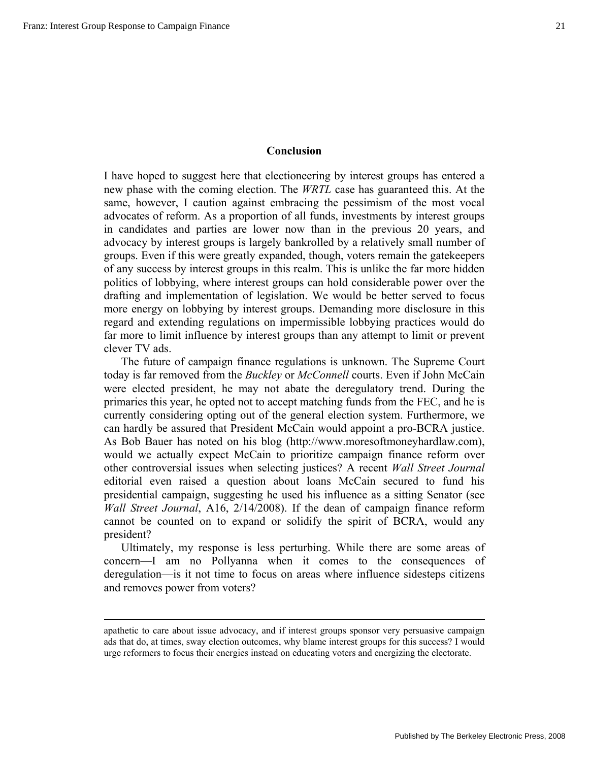## **Conclusion**

I have hoped to suggest here that electioneering by interest groups has entered a new phase with the coming election. The *WRTL* case has guaranteed this. At the same, however, I caution against embracing the pessimism of the most vocal advocates of reform. As a proportion of all funds, investments by interest groups in candidates and parties are lower now than in the previous 20 years, and advocacy by interest groups is largely bankrolled by a relatively small number of groups. Even if this were greatly expanded, though, voters remain the gatekeepers of any success by interest groups in this realm. This is unlike the far more hidden politics of lobbying, where interest groups can hold considerable power over the drafting and implementation of legislation. We would be better served to focus more energy on lobbying by interest groups. Demanding more disclosure in this regard and extending regulations on impermissible lobbying practices would do far more to limit influence by interest groups than any attempt to limit or prevent clever TV ads.

The future of campaign finance regulations is unknown. The Supreme Court today is far removed from the *Buckley* or *McConnell* courts. Even if John McCain were elected president, he may not abate the deregulatory trend. During the primaries this year, he opted not to accept matching funds from the FEC, and he is currently considering opting out of the general election system. Furthermore, we can hardly be assured that President McCain would appoint a pro-BCRA justice. As Bob Bauer has noted on his blog (http://www.moresoftmoneyhardlaw.com), would we actually expect McCain to prioritize campaign finance reform over other controversial issues when selecting justices? A recent *Wall Street Journal* editorial even raised a question about loans McCain secured to fund his presidential campaign, suggesting he used his influence as a sitting Senator (see *Wall Street Journal*, A16, 2/14/2008). If the dean of campaign finance reform cannot be counted on to expand or solidify the spirit of BCRA, would any president?

Ultimately, my response is less perturbing. While there are some areas of concern—I am no Pollyanna when it comes to the consequences of deregulation—is it not time to focus on areas where influence sidesteps citizens and removes power from voters?

apathetic to care about issue advocacy, and if interest groups sponsor very persuasive campaign ads that do, at times, sway election outcomes, why blame interest groups for this success? I would urge reformers to focus their energies instead on educating voters and energizing the electorate.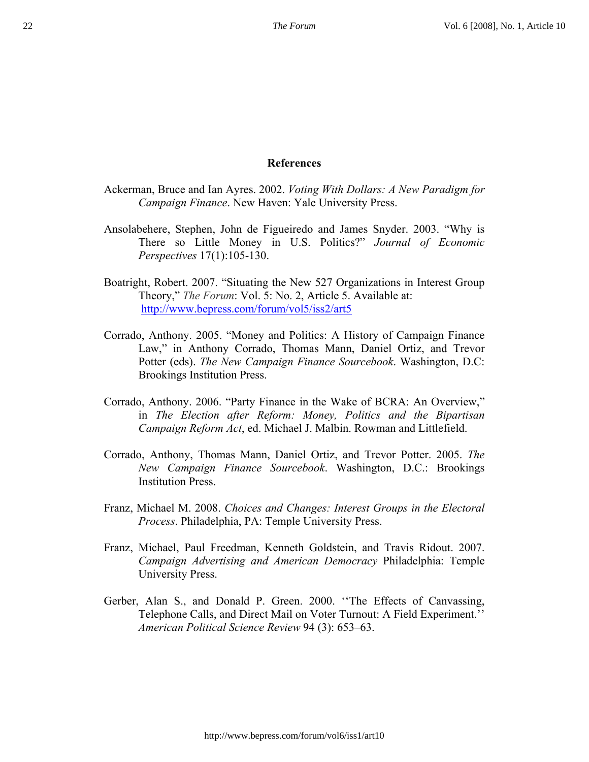## **References**

- Ackerman, Bruce and Ian Ayres. 2002. *Voting With Dollars: A New Paradigm for Campaign Finance*. New Haven: Yale University Press.
- Ansolabehere, Stephen, John de Figueiredo and James Snyder. 2003. "Why is There so Little Money in U.S. Politics?" *Journal of Economic Perspectives* 17(1):105-130.
- Boatright, Robert. 2007. "Situating the New 527 Organizations in Interest Group Theory," *The Forum*: Vol. 5: No. 2, Article 5. Available at: http://www.bepress.com/forum/vol5/iss2/art5
- Corrado, Anthony. 2005. "Money and Politics: A History of Campaign Finance Law," in Anthony Corrado, Thomas Mann, Daniel Ortiz, and Trevor Potter (eds). *The New Campaign Finance Sourcebook*. Washington, D.C: Brookings Institution Press.
- Corrado, Anthony. 2006. "Party Finance in the Wake of BCRA: An Overview," in *The Election after Reform: Money, Politics and the Bipartisan Campaign Reform Act*, ed. Michael J. Malbin. Rowman and Littlefield.
- Corrado, Anthony, Thomas Mann, Daniel Ortiz, and Trevor Potter. 2005. *The New Campaign Finance Sourcebook*. Washington, D.C.: Brookings Institution Press.
- Franz, Michael M. 2008. *Choices and Changes: Interest Groups in the Electoral Process*. Philadelphia, PA: Temple University Press.
- Franz, Michael, Paul Freedman, Kenneth Goldstein, and Travis Ridout. 2007. *Campaign Advertising and American Democracy* Philadelphia: Temple University Press.
- Gerber, Alan S., and Donald P. Green. 2000. ''The Effects of Canvassing, Telephone Calls, and Direct Mail on Voter Turnout: A Field Experiment.'' *American Political Science Review* 94 (3): 653–63.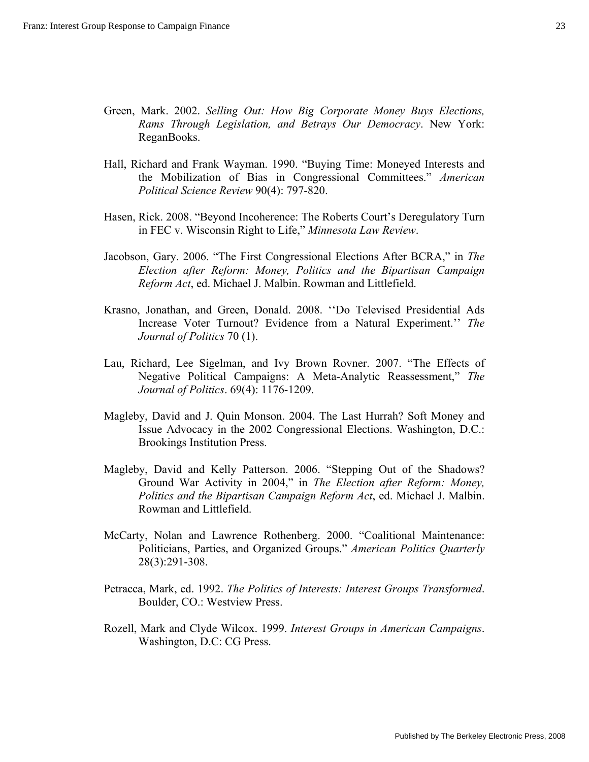- Green, Mark. 2002. *Selling Out: How Big Corporate Money Buys Elections, Rams Through Legislation, and Betrays Our Democracy*. New York: ReganBooks.
- Hall, Richard and Frank Wayman. 1990. "Buying Time: Moneyed Interests and the Mobilization of Bias in Congressional Committees." *American Political Science Review* 90(4): 797-820.
- Hasen, Rick. 2008. "Beyond Incoherence: The Roberts Court's Deregulatory Turn in FEC v. Wisconsin Right to Life," *Minnesota Law Review*.
- Jacobson, Gary. 2006. "The First Congressional Elections After BCRA," in *The Election after Reform: Money, Politics and the Bipartisan Campaign Reform Act*, ed. Michael J. Malbin. Rowman and Littlefield.
- Krasno, Jonathan, and Green, Donald. 2008. ''Do Televised Presidential Ads Increase Voter Turnout? Evidence from a Natural Experiment.'' *The Journal of Politics* 70 (1).
- Lau, Richard, Lee Sigelman, and Ivy Brown Rovner. 2007. "The Effects of Negative Political Campaigns: A Meta-Analytic Reassessment," *The Journal of Politics*. 69(4): 1176-1209.
- Magleby, David and J. Quin Monson. 2004. The Last Hurrah? Soft Money and Issue Advocacy in the 2002 Congressional Elections. Washington, D.C.: Brookings Institution Press.
- Magleby, David and Kelly Patterson. 2006. "Stepping Out of the Shadows? Ground War Activity in 2004," in *The Election after Reform: Money, Politics and the Bipartisan Campaign Reform Act*, ed. Michael J. Malbin. Rowman and Littlefield.
- McCarty, Nolan and Lawrence Rothenberg. 2000. "Coalitional Maintenance: Politicians, Parties, and Organized Groups." *American Politics Quarterly* 28(3):291-308.
- Petracca, Mark, ed. 1992. *The Politics of Interests: Interest Groups Transformed*. Boulder, CO.: Westview Press.
- Rozell, Mark and Clyde Wilcox. 1999. *Interest Groups in American Campaigns*. Washington, D.C: CG Press.